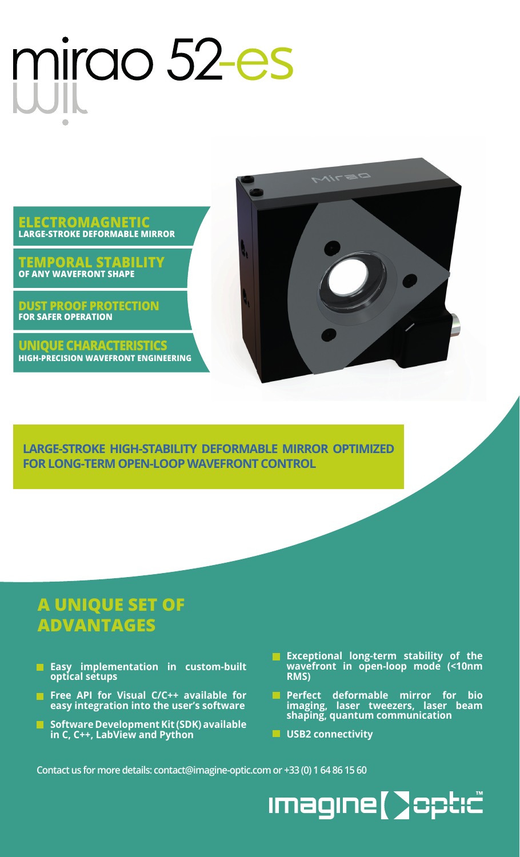## mirao 52-es



**DUST PROOF PROTECTION FOR SAFER OPERATION**

**UNIQUE CHARACTERISTICS HIGH-PRECISION WAVEFRONT ENGINEERING**



**LARGE-STROKE HIGH-STABILITY DEFORMABLE MIRROR OPTIMIZED FOR LONG-TERM OPEN-LOOP WAVEFRONT CONTROL**

## **A UNIQUE SET OF ADVANTAGES**

- **Easy implementation in custom-built optical setups**
- **Figure 15 Free API for Visual C/C++ available for easy integration into the user's software**
- **Software Development Kit (SDK) available in C, C++, LabView and Python**
- **Exceptional long-term stability of the wavefront in open-loop mode (<10nm RMS)**
- **Perfect deformable mirror for bio imaging, laser tweezers, laser beam shaping, quantum communication**
- **USB2 connectivity**

**Contact us for more details: contact@imagine-optic.com or +33 (0) 1 64 86 15 60**

**Imagine [ ]opt:c^**